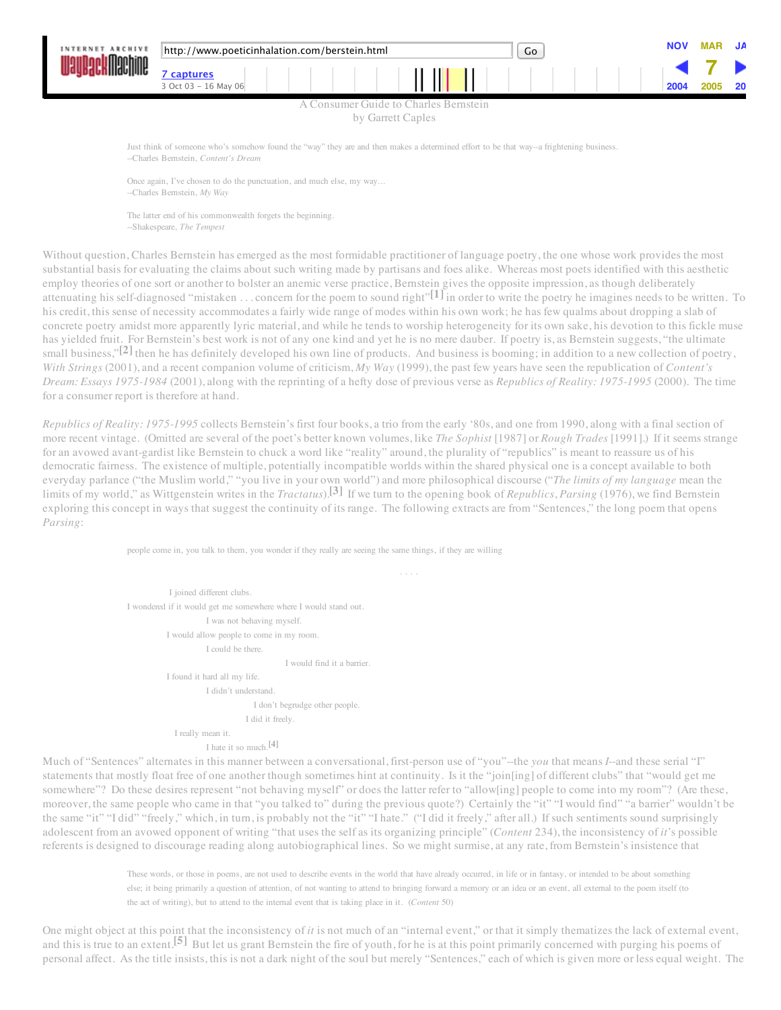

by Garrett Caples

Just think of someone who's somehow found the "way" they are and then makes a determined effort to be that way--a frightening business. --Charles Bernstein, *Content's Dream*

Once again, I've chosen to do the punctuation, and much else, my way... --Charles Bernstein, *My Way*

The latter end of his commonwealth forgets the beginning. --Shakespeare, *The Tempest*

Without question, Charles Bernstein has emerged as the most formidable practitioner of language poetry, the one whose work provides the most substantial basis for evaluating the claims about such writing made by partisans and foes alike. Whereas most poets identified with this aesthetic employ theories of one sort or another to bolster an anemic verse practice, Bernstein gives the opposite impression, as though deliberately attenuating his self-diagnosed "mistaken ... concern for the poem to sound right"<sup>[1]</sup> in order to write the poetry he imagines needs to be written. To his credit, this sense of necessity accommodates a fairly wide range of modes within his own work; he has few qualms about dropping a slab of concrete poetry amidst more apparently lyric material, and while he tends to worship heterogeneity for its own sake, his devotion to this fickle muse has yielded fruit. For Bernstein's best work is not of any one kind and yet he is no mere dauber. If poetry is, as Bernstein suggests, "the ultimate small business,"<sup>[2]</sup> then he has definitely developed his own line of products. And business is booming; in addition to a new collection of poetry, *With Strings* (2001), and a recent companion volume of criticism, *My Way* (1999), the past few years have seen the republication of *Content's Dream: Essays 1975-1984* (2001), along with the reprinting of a hefty dose of previous verse as *Republics of Reality: 1975-1995* (2000). The time for a consumer report is therefore at hand.

*Republics of Reality: 1975-1995* collects Bernstein's first four books, a trio from the early '80s, and one from 1990, along with a final section of more recent vintage. (Omitted are several of the poet's better known volumes, like *The Sophist* [1987] or *Rough Trades* [1991].) If it seems strange for an avowed avant-gardist like Bernstein to chuck a word like "reality" around, the plurality of "republics" is meant to reassure us of his democratic fairness. The existence of multiple, potentially incompatible worlds within the shared physical one is a concept available to both everyday parlance ("the Muslim world," "you live in your own world") and more philosophical discourse ("*The limits of my language* mean the limits of my world," as Wittgenstein writes in the *Tractatus*). If we turn to the opening book of *Republics*, *Parsing* (1976), we find Bernstein **[3]** exploring this concept in ways that suggest the continuity of its range. The following extracts are from "Sentences," the long poem that opens *Parsing*:

people come in, you talk to them, you wonder if they really are seeing the same things, if they are willing

I joined different clubs. I wondered if it would get me somewhere where I would stand out. I was not behaving myself. I would allow people to come in my room. I could be there. I would find it a barrier. I found it hard all my life. I didn't understand. I don't begrudge other people. I did it freely. I really mean it. I hate it so much. **[4]**

Much of "Sentences" alternates in this manner between a conversational, first-person use of "you"--the *you* that means *I*--and these serial "I" statements that mostly float free of one another though sometimes hint at continuity. Is it the "join[ing] of different clubs" that "would get me somewhere"? Do these desires represent "not behaving myself" or does the latter refer to "allow[ing] people to come into my room"? (Are these, moreover, the same people who came in that "you talked to" during the previous quote?) Certainly the "it" "I would find" "a barrier" wouldn't be the same "it" "I did" "freely," which, in turn, is probably not the "it" "I hate." ("I did it freely," after all.) If such sentiments sound surprisingly adolescent from an avowed opponent of writing "that uses the self as its organizing principle" (*Content* 234), the inconsistency of *it*'s possible referents is designed to discourage reading along autobiographical lines. So we might surmise, at any rate, from Bernstein's insistence that

> These words, or those in poems, are not used to describe events in the world that have already occurred, in life or in fantasy, or intended to be about something else; it being primarily a question of attention, of not wanting to attend to bringing forward a memory or an idea or an event, all external to the poem itself (to the act of writing), but to attend to the internal event that is taking place in it. (*Content* 50)

One might object at this point that the inconsistency of *it* is not much of an "internal event," or that it simply thematizes the lack of external event, and this is true to an extent.<sup>[5]</sup> But let us grant Bernstein the fire of youth, for he is at this point primarily concerned with purging his poems of personal affect. As the title insists, this is not a dark night of the soul but merely "Sentences," each of which is given more or less equal weight. The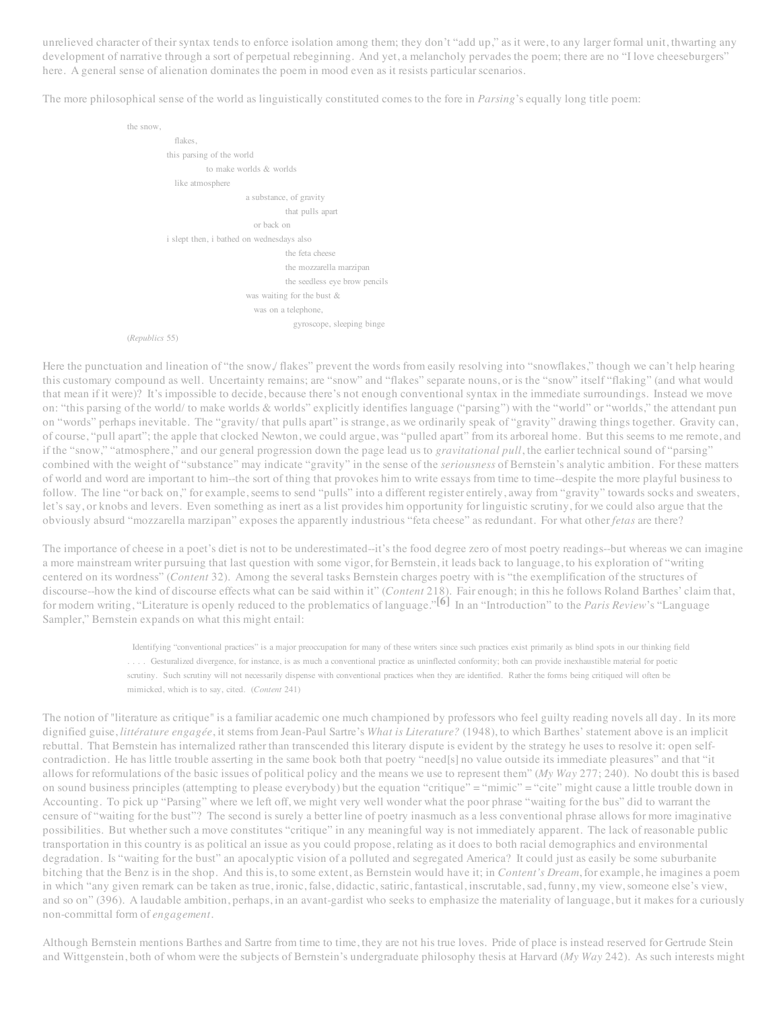unrelieved character of their syntax tends to enforce isolation among them; they don't "add up," as it were, to any larger formal unit, thwarting any development of narrative through a sort of perpetual rebeginning. And yet, a melancholy pervades the poem; there are no "I love cheeseburgers" here. A general sense of alienation dominates the poem in mood even as it resists particular scenarios.

The more philosophical sense of the world as linguistically constituted comes to the fore in *Parsing*'s equally long title poem:



Here the punctuation and lineation of "the snow, flakes" prevent the words from easily resolving into "snowflakes," though we can't help hearing this customary compound as well. Uncertainty remains; are "snow" and "flakes" separate nouns, or is the "snow" itself "flaking" (and what would that mean if it were)? It's impossible to decide, because there's not enough conventional syntax in the immediate surroundings. Instead we move on: "this parsing of the world/ to make worlds & worlds" explicitly identifies language ("parsing") with the "world" or "worlds," the attendant pun on "words" perhaps inevitable. The "gravity/ that pulls apart" is strange, as we ordinarily speak of "gravity" drawing things together. Gravity can, of course, "pull apart"; the apple that clocked Newton, we could argue, was "pulled apart" from its arboreal home. But this seems to me remote, and if the "snow," "atmosphere," and our general progression down the page lead us to *gravitational pull*, the earlier technical sound of "parsing" combined with the weight of "substance" may indicate "gravity" in the sense of the *seriousness* of Bernstein's analytic ambition. For these matters of world and word are important to him--the sort of thing that provokes him to write essays from time to time--despite the more playful business to follow. The line "or back on," for example, seems to send "pulls" into a different register entirely, away from "gravity" towards socks and sweaters, let's say, or knobs and levers. Even something as inert as a list provides him opportunity for linguistic scrutiny, for we could also argue that the obviously absurd "mozzarella marzipan" exposes the apparently industrious "feta cheese" as redundant. For what other *fetas* are there?

The importance of cheese in a poet's diet is not to be underestimated--it's the food degree zero of most poetry readings--but whereas we can imagine a more mainstream writer pursuing that last question with some vigor, for Bernstein, it leads back to language, to his exploration of "writing centered on its wordness" (*Content* 32). Among the several tasks Bernstein charges poetry with is "the exemplification of the structures of discourse--how the kind of discourse effects what can be said within it" (*Content* 218). Fair enough; in this he follows Roland Barthes' claim that, for modern writing, "Literature is openly reduced to the problematics of language."<sup>[6]</sup> In an "Introduction" to the *Paris Review*'s "Language Sampler," Bernstein expands on what this might entail:

> Identifying "conventional practices" is a major preoccupation for many of these writers since such practices exist primarily as blind spots in our thinking field . . . . Gesturalized divergence, for instance, is as much a conventional practice as uninflected conformity; both can provide inexhaustible material for poetic scrutiny. Such scrutiny will not necessarily dispense with conventional practices when they are identified. Rather the forms being critiqued will often be mimicked, which is to say, cited. (*Content* 241)

The notion of "literature as critique" is a familiar academic one much championed by professors who feel guilty reading novels all day. In its more dignified guise, *littérature engagée*, it stems from Jean-Paul Sartre's *What is Literature?* (1948), to which Barthes' statement above is an implicit rebuttal. That Bernstein has internalized rather than transcended this literary dispute is evident by the strategy he uses to resolve it: open selfcontradiction. He has little trouble asserting in the same book both that poetry "need[s] no value outside its immediate pleasures" and that "it allows for reformulations of the basic issues of political policy and the means we use to represent them" (*My Way* 277; 240). No doubt this is based on sound business principles (attempting to please everybody) but the equation "critique" = "mimic" = "cite" might cause a little trouble down in Accounting. To pick up "Parsing" where we left off, we might very well wonder what the poor phrase "waiting for the bus" did to warrant the censure of "waiting for the bust"? The second is surely a better line of poetry inasmuch as a less conventional phrase allows for more imaginative possibilities. But whether such a move constitutes "critique" in any meaningful way is not immediately apparent. The lack of reasonable public transportation in this country is as political an issue as you could propose, relating as it does to both racial demographics and environmental degradation. Is "waiting for the bust" an apocalyptic vision of a polluted and segregated America? It could just as easily be some suburbanite bitching that the Benz is in the shop. And this is, to some extent, as Bernstein would have it; in *Content's Dream*, for example, he imagines a poem in which "any given remark can be taken as true, ironic, false, didactic, satiric, fantastical, inscrutable, sad, funny, my view, someone else's view, and so on" (396). A laudable ambition, perhaps, in an avant-gardist who seeks to emphasize the materiality of language, but it makes for a curiously non-committal form of *engagement*.

Although Bernstein mentions Barthes and Sartre from time to time, they are not his true loves. Pride of place is instead reserved for Gertrude Stein and Wittgenstein, both of whom were the subjects of Bernstein's undergraduate philosophy thesis at Harvard (*My Way* 242). As such interests might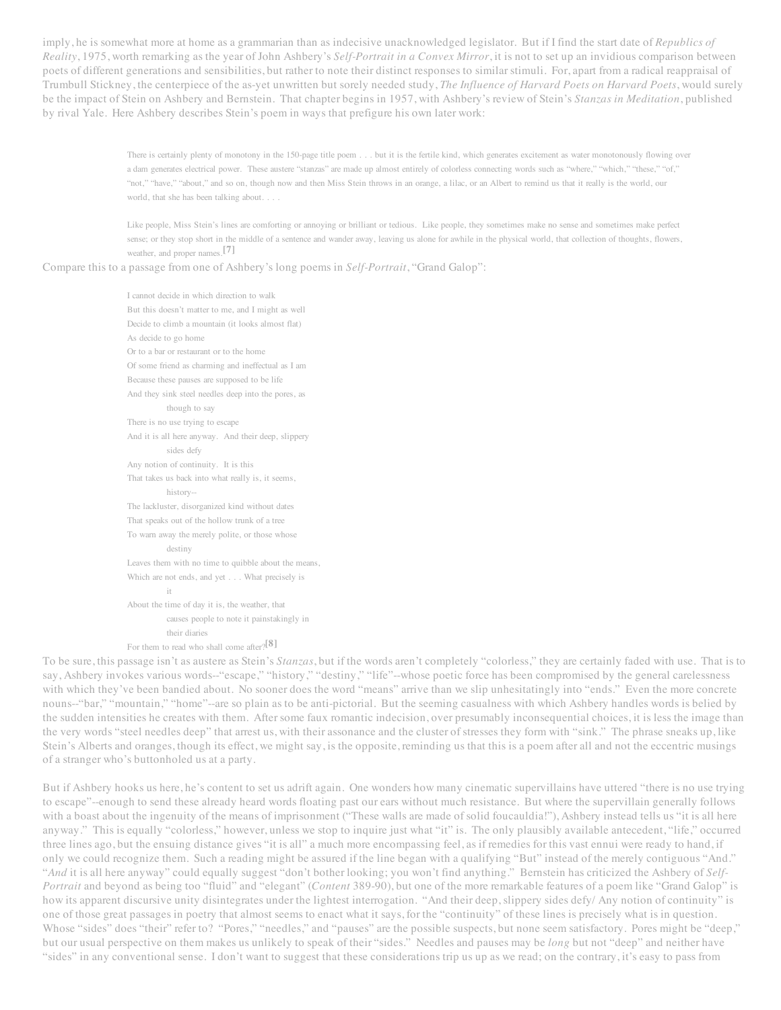imply, he is somewhat more at home as a grammarian than as indecisive unacknowledged legislator. But if I find the start date of *Republics of Reality*, 1975, worth remarking as the year of John Ashbery's *Self-Portrait in a Convex Mirror*, it is not to set up an invidious comparison between poets of different generations and sensibilities, but rather to note their distinct responses to similar stimuli. For, apart from a radical reappraisal of Trumbull Stickney, the centerpiece of the as-yet unwritten but sorely needed study, *The Influence of Harvard Poets on Harvard Poets*, would surely be the impact of Stein on Ashbery and Bernstein. That chapter begins in 1957, with Ashbery's review of Stein's *Stanzas in Meditation*, published by rival Yale. Here Ashbery describes Stein's poem in ways that prefigure his own later work:

> There is certainly plenty of monotony in the 150-page title poem . . . but it is the fertile kind, which generates excitement as water monotonously flowing over a dam generates electrical power. These austere "stanzas" are made up almost entirely of colorless connecting words such as "where," "which," "these," "of," "not," "have," "about," and so on, though now and then Miss Stein throws in an orange, a lilac, or an Albert to remind us that it really is the world, our world, that she has been talking about. . . .

Like people, Miss Stein's lines are comforting or annoying or brilliant or tedious. Like people, they sometimes make no sense and sometimes make perfect sense; or they stop short in the middle of a sentence and wander away, leaving us alone for awhile in the physical world, that collection of thoughts, flowers, weather, and proper names. **[7]**

Compare this to a passage from one of Ashbery's long poems in *Self-Portrait*, "Grand Galop":

I cannot decide in which direction to walk But this doesn't matter to me, and I might as well Decide to climb a mountain (it looks almost flat) As decide to go home Or to a bar or restaurant or to the home Of some friend as charming and ineffectual as I am Because these pauses are supposed to be life And they sink steel needles deep into the pores, as though to say There is no use trying to escape And it is all here anyway. And their deep, slippery sides defy Any notion of continuity. It is this That takes us back into what really is, it seems, history-- The lackluster, disorganized kind without dates That speaks out of the hollow trunk of a tree To warn away the merely polite, or those whose destiny Leaves them with no time to quibble about the means, Which are not ends, and yet . . . What precisely is it About the time of day it is, the weather, that causes people to note it painstakingly in their diaries For them to read who shall come after? **[8]**

To be sure, this passage isn't as austere as Stein's *Stanzas*, but if the words aren't completely "colorless," they are certainly faded with use. That is to say, Ashbery invokes various words--"escape," "history," "destiny," "life"--whose poetic force has been compromised by the general carelessness with which they've been bandied about. No sooner does the word "means" arrive than we slip unhesitatingly into "ends." Even the more concrete nouns--"bar," "mountain," "home"--are so plain as to be anti-pictorial. But the seeming casualness with which Ashbery handles words is belied by the sudden intensities he creates with them. After some faux romantic indecision, over presumably inconsequential choices, it is less the image than the very words "steel needles deep" that arrest us, with their assonance and the cluster of stresses they form with "sink." The phrase sneaks up, like Stein's Alberts and oranges, though its effect, we might say, is the opposite, reminding us that this is a poem after all and not the eccentric musings of a stranger who's buttonholed us at a party.

But if Ashbery hooks us here, he's content to set us adrift again. One wonders how many cinematic supervillains have uttered "there is no use trying to escape"--enough to send these already heard words floating past our ears without much resistance. But where the supervillain generally follows with a boast about the ingenuity of the means of imprisonment ("These walls are made of solid foucauldia!"), Ashbery instead tells us "it is all here anyway." This is equally "colorless," however, unless we stop to inquire just what "it" is. The only plausibly available antecedent, "life," occurred three lines ago, but the ensuing distance gives "it is all" a much more encompassing feel, as if remedies for this vast ennui were ready to hand, if only we could recognize them. Such a reading might be assured if the line began with a qualifying "But" instead of the merely contiguous "And." "*And* it is all here anyway" could equally suggest "don't bother looking; you won't find anything." Bernstein has criticized the Ashbery of *Self-Portrait* and beyond as being too "fluid" and "elegant" (*Content* 389-90), but one of the more remarkable features of a poem like "Grand Galop" is how its apparent discursive unity disintegrates under the lightest interrogation. "And their deep, slippery sides defy/ Any notion of continuity" is one of those great passages in poetry that almost seems to enact what it says, for the "continuity" of these lines is precisely what is in question. Whose "sides" does "their" refer to? "Pores," "needles," and "pauses" are the possible suspects, but none seem satisfactory. Pores might be "deep," but our usual perspective on them makes us unlikely to speak of their "sides." Needles and pauses may be *long* but not "deep" and neither have "sides" in any conventional sense. I don't want to suggest that these considerations trip us up as we read; on the contrary, it's easy to pass from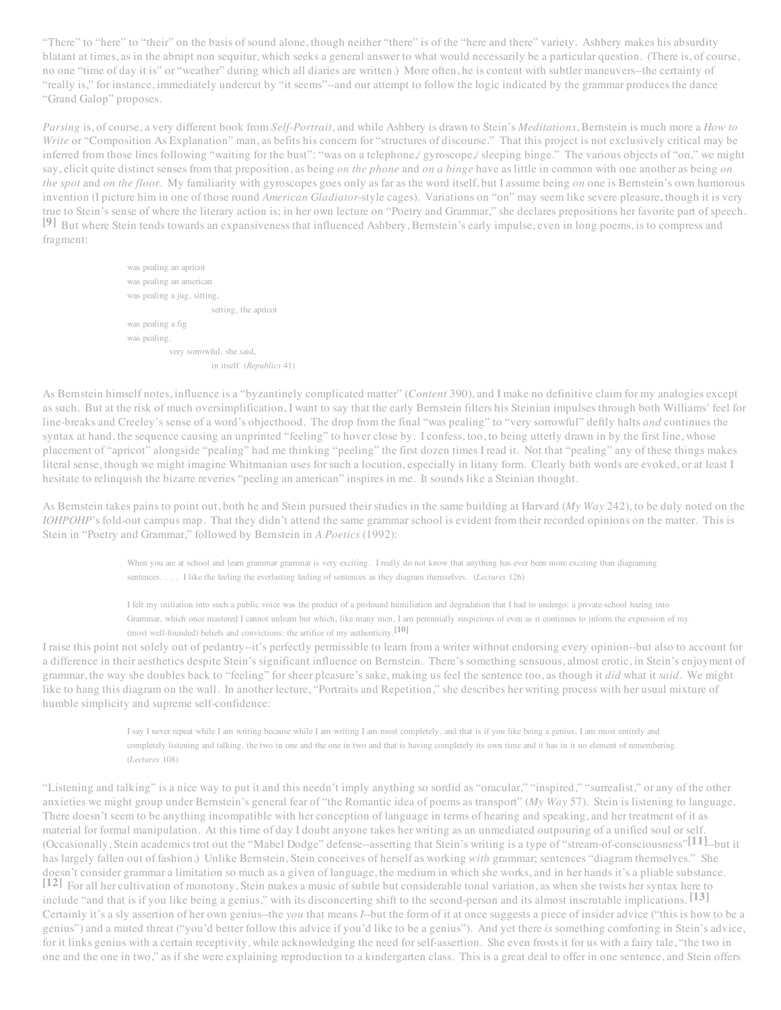"There" to "here" to "their" on the basis of sound alone, though neither "there" is of the "here and there" variety. Ashbery makes his absurdity blatant at times, as in the abrupt non sequitur, which seeks a general answer to what would necessarily be a particular question. (There is, of course, no one "time of day it is" or "weather" during which all diaries are written.) More often, he is content with subtler maneuvers--the certainty of "really is," for instance, immediately undercut by "it seems"--and our attempt to follow the logic indicated by the grammar produces the dance "Grand Galop" proposes.

*Parsing* is, of course, a very different book from *Self-Portrait*, and while Ashbery is drawn to Stein's *Meditations*, Bernstein is much more a *How to Write* or "Composition As Explanation" man, as befits his concern for "structures of discourse." That this project is not exclusively critical may be inferred from those lines following "waiting for the bust": "was on a telephone,/ gyroscope,/ sleeping binge." The various objects of "on," we might say, elicit quite distinct senses from that preposition, as being *on the phone* and *on a binge* have as little in common with one another as being *on the spot* and *on the floor*. My familiarity with gyroscopes goes only as far as the word itself, but I assume being *on* one is Bernstein's own humorous invention (I picture him in one of those round *American Gladiator*-style cages). Variations on "on" may seem like severe pleasure, though it is very true to Stein's sense of where the literary action is; in her own lecture on "Poetry and Grammar," she declares prepositions her favorite part of speech. But where Stein tends towards an expansiveness that influenced Ashbery, Bernstein's early impulse, even in long poems, is to compress and **[9]** fragment:

> was pealing an apricot was pealing an american was pealing a jug, sitting, setting, the apricot was pealing a fig was pealing, very sorrowful, she said, in itself (*Republics* 41)

As Bernstein himself notes, influence is a "byzantinely complicated matter" (*Content* 390), and I make no definitive claim for my analogies except as such. But at the risk of much oversimplification, I want to say that the early Bernstein filters his Steinian impulses through both Williams' feel for line-breaks and Creeley's sense of a word's objecthood. The drop from the final "was pealing" to "very sorrowful" deftly halts *and* continues the syntax at hand, the sequence causing an unprinted "feeling" to hover close by. I confess, too, to being utterly drawn in by the first line, whose placement of "apricot" alongside "pealing" had me thinking "peeling" the first dozen times I read it. Not that "pealing" any of these things makes literal sense, though we might imagine Whitmanian uses for such a locution, especially in litany form. Clearly both words are evoked, or at least I hesitate to relinquish the bizarre reveries "peeling an american" inspires in me. It sounds like a Steinian thought.

As Bernstein takes pains to point out, both he and Stein pursued their studies in the same building at Harvard (*My Way* 242), to be duly noted on the *IOHPOHP*'s fold-out campus map. That they didn't attend the same grammar school is evident from their recorded opinions on the matter. This is Stein in "Poetry and Grammar," followed by Bernstein in *A Poetics* (1992):

> When you are at school and learn grammar grammar is very exciting. I really do not know that anything has ever been more exciting than diagraming sentences. . . . I like the feeling the everlasting feeling of sentences as they diagram themselves. (*Lectures* 126)

I felt my initiation into such a public voice was the product of a profound humiliation and degradation that I had to undergo: a private-school hazing into Grammar, which once mastered I cannot unlearn but which, like many men, I am perennially suspicious of even as it continues to inform the expression of my (most well-founded) beliefs and convictions: the artifice of my authenticity. **[10]**

I raise this point not solely out of pedantry--it's perfectly permissible to learn from a writer without endorsing every opinion--but also to account for a difference in their aesthetics despite Stein's significant influence on Bernstein. There's something sensuous, almost erotic, in Stein's enjoyment of grammar, the way she doubles back to "feeling" for sheer pleasure's sake, making us feel the sentence too, as though it *did* what it *said*. We might like to hang this diagram on the wall. In another lecture, "Portraits and Repetition," she describes her writing process with her usual mixture of humble simplicity and supreme self-confidence:

> I say I never repeat while I am writing because while I am writing I am most completely, and that is if you like being a genius, I am most entirely and completely listening and talking, the two in one and the one in two and that is having completely its own time and it has in it no element of remembering. (*Lectures* 108)

"Listening and talking" is a nice way to put it and this needn't imply anything so sordid as "oracular," "inspired," "surrealist," or any of the other anxieties we might group under Bernstein's general fear of "the Romantic idea of poems as transport" (*My Way* 57). Stein is listening to language. There doesn't seem to be anything incompatible with her conception of language in terms of hearing and speaking, and her treatment of it as material for formal manipulation. At this time of day I doubt anyone takes her writing as an unmediated outpouring of a unified soul or self. (Occasionally, Stein academics trot out the "Mabel Dodge" defense--asserting that Stein's writing is a type of "stream-of-consciousness" [11] --but it has largely fallen out of fashion.) Unlike Bernstein, Stein conceives of herself as working *with* grammar; sentences "diagram themselves." She doesn't consider grammar a limitation so much as a given of language, the medium in which she works, and in her hands it's a pliable substance. For all her cultivation of monotony, Stein makes a music of subtle but considerable tonal variation, as when she twists her syntax here to **[12]** include "and that is if you like being a genius," with its disconcerting shift to the second-person and its almost inscrutable implications. **[13]**Certainly it's a sly assertion of her own genius--the *you* that means *I*--but the form of it at once suggests a piece of insider advice ("this is how to be a genius") and a muted threat ("you'd better follow this advice if you'd like to be a genius"). And yet there *is* something comforting in Stein's advice, for it links genius with a certain receptivity, while acknowledging the need for self-assertion. She even frosts it for us with a fairy tale, "the two in one and the one in two," as if she were explaining reproduction to a kindergarten class. This is a great deal to offer in one sentence, and Stein offers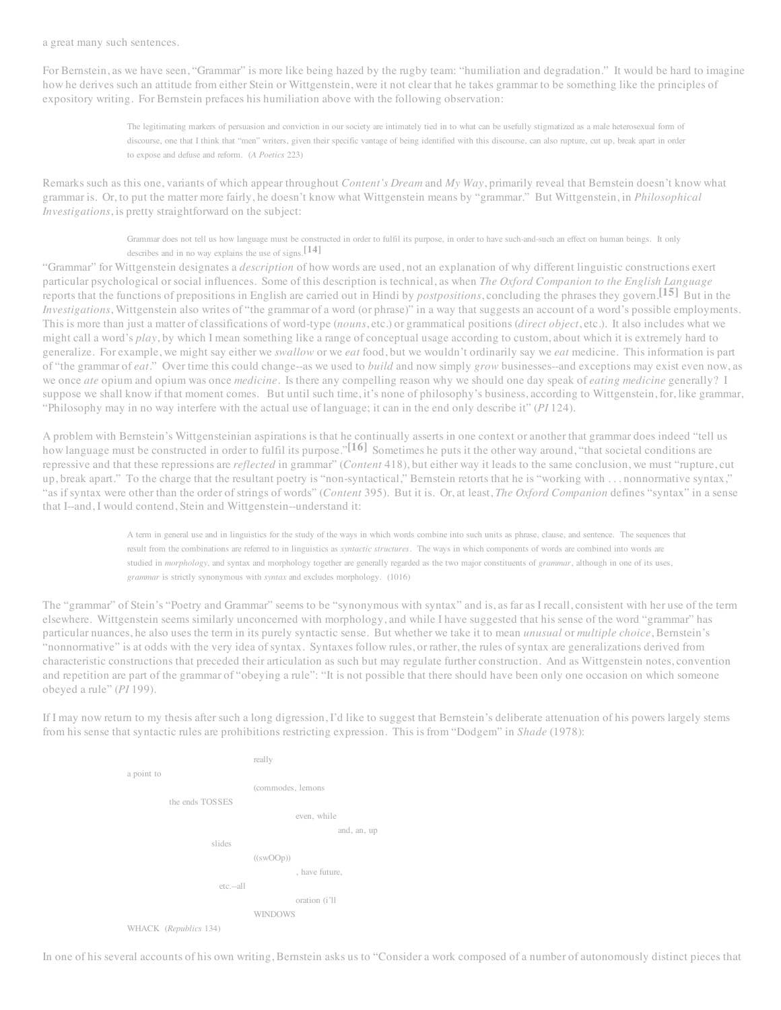a great many such sentences.

For Bernstein, as we have seen, "Grammar" is more like being hazed by the rugby team: "humiliation and degradation." It would be hard to imagine how he derives such an attitude from either Stein or Wittgenstein, were it not clear that he takes grammar to be something like the principles of expository writing. For Bernstein prefaces his humiliation above with the following observation:

> The legitimating markers of persuasion and conviction in our society are intimately tied in to what can be usefully stigmatized as a male heterosexual form of discourse, one that I think that "men" writers, given their specific vantage of being identified with this discourse, can also rupture, cut up, break apart in order to expose and defuse and reform. (*A Poetics* 223)

Remarks such as this one, variants of which appear throughout *Content's Dream* and *My Way*, primarily reveal that Bernstein doesn't know what grammar is. Or, to put the matter more fairly, he doesn't know what Wittgenstein means by "grammar." But Wittgenstein, in *Philosophical Investigations*, is pretty straightforward on the subject:

> Grammar does not tell us how language must be constructed in order to fulfil its purpose, in order to have such-and-such an effect on human beings. It only describes and in no way explains the use of signs. **[14]**

"Grammar" for Wittgenstein designates a *description* of how words are used, not an explanation of why different linguistic constructions exert particular psychological or social influences. Some of this description is technical, as when *The Oxford Companion to the English Language* reports that the functions of prepositions in English are carried out in Hindi by *postpositions*, concluding the phrases they govern.<sup>[15]</sup> But in the *Investigations*, Wittgenstein also writes of "the grammar of a word (or phrase)" in a way that suggests an account of a word's possible employments. This is more than just a matter of classifications of word-type (*nouns*, etc.) or grammatical positions (*direct object*, etc.). It also includes what we might call a word's *play*, by which I mean something like a range of conceptual usage according to custom, about which it is extremely hard to generalize. For example, we might say either we *swallow* or we *eat* food, but we wouldn't ordinarily say we *eat* medicine. This information is part of "the grammar of *eat*." Over time this could change--as we used to *build* and now simply *grow* businesses--and exceptions may exist even now, as we once *ate* opium and opium was once *medicine*. Is there any compelling reason why we should one day speak of *eating medicine* generally? I suppose we shall know if that moment comes. But until such time, it's none of philosophy's business, according to Wittgenstein, for, like grammar, "Philosophy may in no way interfere with the actual use of language; it can in the end only describe it" (*PI* 124).

A problem with Bernstein's Wittgensteinian aspirations is that he continually asserts in one context or another that grammar does indeed "tell us how language must be constructed in order to fulfil its purpose."<sup>[16]</sup> Sometimes he puts it the other way around, "that societal conditions are repressive and that these repressions are *reflected* in grammar" (*Content* 418), but either way it leads to the same conclusion, we must "rupture, cut up, break apart." To the charge that the resultant poetry is "non-syntactical," Bernstein retorts that he is "working with . . . nonnormative syntax," "as if syntax were other than the order of strings of words" (*Content* 395). But it is. Or, at least, *The Oxford Companion* defines "syntax" in a sense that I--and, I would contend, Stein and Wittgenstein--understand it:

> A term in general use and in linguistics for the study of the ways in which words combine into such units as phrase, clause, and sentence. The sequences that result from the combinations are referred to in linguistics as *syntactic structures*. The ways in which components of words are combined into words are studied in *morphology*, and syntax and morphology together are generally regarded as the two major constituents of *grammar*, although in one of its uses, *grammar* is strictly synonymous with *syntax* and excludes morphology. (1016)

The "grammar" of Stein's "Poetry and Grammar" seems to be "synonymous with syntax" and is, as far as I recall, consistent with her use of the term elsewhere. Wittgenstein seems similarly unconcerned with morphology, and while I have suggested that his sense of the word "grammar" has particular nuances, he also uses the term in its purely syntactic sense. But whether we take it to mean *unusual* or *multiple choice*, Bernstein's "nonnormative" is at odds with the very idea of syntax. Syntaxes follow rules, or rather, the rules of syntax are generalizations derived from characteristic constructions that preceded their articulation as such but may regulate further construction. And as Wittgenstein notes, convention and repetition are part of the grammar of "obeying a rule": "It is not possible that there should have been only one occasion on which someone obeyed a rule" (*PI* 199).

If I may now return to my thesis after such a long digression, I'd like to suggest that Bernstein's deliberate attenuation of his powers largely stems from his sense that syntactic rules are prohibitions restricting expression. This is from "Dodgem" in *Shade* (1978):



In one of his several accounts of his own writing, Bernstein asks us to "Consider a work composed of a number of autonomously distinct pieces that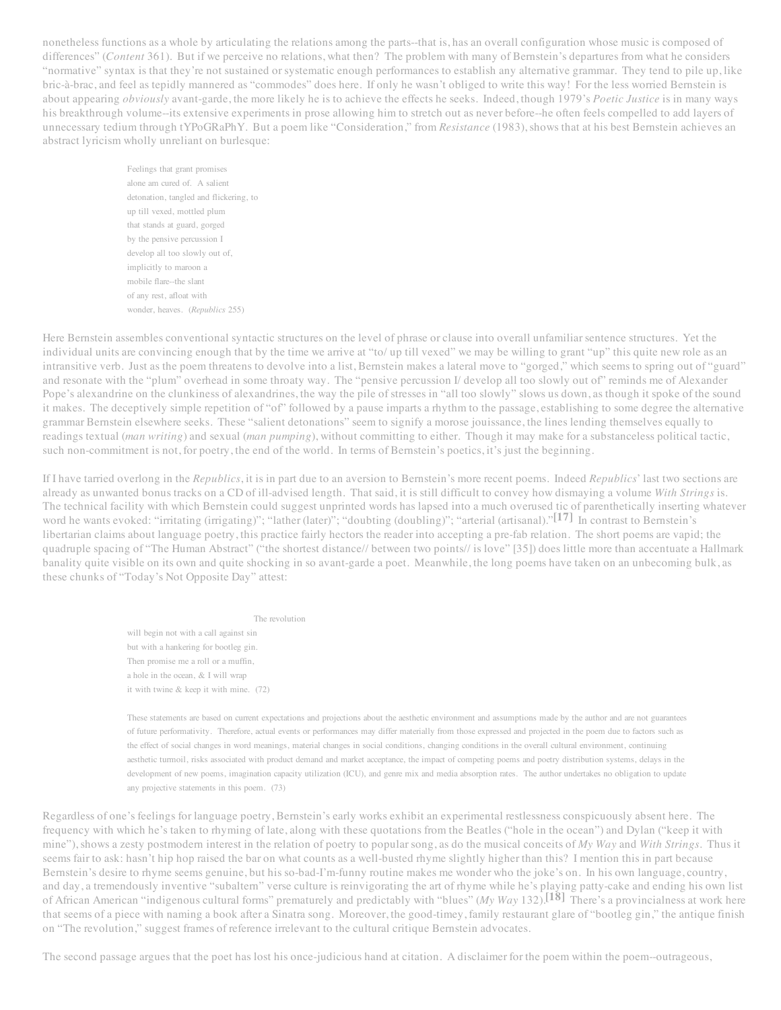nonetheless functions as a whole by articulating the relations among the parts--that is, has an overall configuration whose music is composed of differences" (*Content* 361). But if we perceive no relations, what then? The problem with many of Bernstein's departures from what he considers "normative" syntax is that they're not sustained or systematic enough performances to establish any alternative grammar. They tend to pile up, like bric-à-brac, and feel as tepidly mannered as "commodes" does here. If only he wasn't obliged to write this way! For the less worried Bernstein is about appearing *obviously* avant-garde, the more likely he is to achieve the effects he seeks. Indeed, though 1979's *Poetic Justice* is in many ways his breakthrough volume--its extensive experiments in prose allowing him to stretch out as never before--he often feels compelled to add layers of unnecessary tedium through tYPoGRaPhY. But a poem like "Consideration," from *Resistance* (1983), shows that at his best Bernstein achieves an abstract lyricism wholly unreliant on burlesque:

> Feelings that grant promises alone am cured of. A salient detonation, tangled and flickering, to up till vexed, mottled plum that stands at guard, gorged by the pensive percussion I develop all too slowly out of, implicitly to maroon a mobile flare--the slant of any rest, afloat with wonder, heaves. (*Republics* 255)

Here Bernstein assembles conventional syntactic structures on the level of phrase or clause into overall unfamiliar sentence structures. Yet the individual units are convincing enough that by the time we arrive at "to/ up till vexed" we may be willing to grant "up" this quite new role as an intransitive verb. Just as the poem threatens to devolve into a list, Bernstein makes a lateral move to "gorged," which seems to spring out of "guard" and resonate with the "plum" overhead in some throaty way. The "pensive percussion I/ develop all too slowly out of" reminds me of Alexander Pope's alexandrine on the clunkiness of alexandrines, the way the pile of stresses in "all too slowly" slows us down, as though it spoke of the sound it makes. The deceptively simple repetition of "of" followed by a pause imparts a rhythm to the passage, establishing to some degree the alternative grammar Bernstein elsewhere seeks. These "salient detonations" seem to signify a morose jouissance, the lines lending themselves equally to readings textual (*man writing*) and sexual (*man pumping*), without committing to either. Though it may make for a substanceless political tactic, such non-commitment is not, for poetry, the end of the world. In terms of Bernstein's poetics, it's just the beginning.

If I have tarried overlong in the *Republics*, it is in part due to an aversion to Bernstein's more recent poems. Indeed *Republics*' last two sections are already as unwanted bonus tracks on a CD of ill-advised length. That said, it is still difficult to convey how dismaying a volume *With Strings* is. The technical facility with which Bernstein could suggest unprinted words has lapsed into a much overused tic of parenthetically inserting whatever word he wants evoked: "irritating (irrigating)"; "lather (later)"; "doubting (doubling)"; "arterial (artisanal)."<sup>[17]</sup> In contrast to Bernstein's libertarian claims about language poetry, this practice fairly hectors the reader into accepting a pre-fab relation. The short poems are vapid; the quadruple spacing of "The Human Abstract" ("the shortest distance// between two points// is love" [35]) does little more than accentuate a Hallmark banality quite visible on its own and quite shocking in so avant-garde a poet. Meanwhile, the long poems have taken on an unbecoming bulk, as these chunks of "Today's Not Opposite Day" attest:

The revolution

will begin not with a call against sin but with a hankering for bootleg gin. Then promise me a roll or a muffin, a hole in the ocean, & I will wrap it with twine & keep it with mine. (72)

These statements are based on current expectations and projections about the aesthetic environment and assumptions made by the author and are not guarantees of future performativity. Therefore, actual events or performances may differ materially from those expressed and projected in the poem due to factors such as the effect of social changes in word meanings, material changes in social conditions, changing conditions in the overall cultural environment, continuing aesthetic turmoil, risks associated with product demand and market acceptance, the impact of competing poems and poetry distribution systems, delays in the development of new poems, imagination capacity utilization (ICU), and genre mix and media absorption rates. The author undertakes no obligation to update any projective statements in this poem. (73)

Regardless of one's feelings for language poetry, Bernstein's early works exhibit an experimental restlessness conspicuously absent here. The frequency with which he's taken to rhyming of late, along with these quotations from the Beatles ("hole in the ocean") and Dylan ("keep it with mine"), shows a zesty postmodern interest in the relation of poetry to popular song, as do the musical conceits of *My Way* and *With Strings*. Thus it seems fair to ask: hasn't hip hop raised the bar on what counts as a well-busted rhyme slightly higher than this? I mention this in part because Bernstein's desire to rhyme seems genuine, but his so-bad-I'm-funny routine makes me wonder who the joke's on. In his own language, country, and day, a tremendously inventive "subaltern" verse culture is reinvigorating the art of rhyme while he's playing patty-cake and ending his own list of African American "indigenous cultural forms" prematurely and predictably with "blues" (*My Way* 132). There's a provincialness at work here **[18]**that seems of a piece with naming a book after a Sinatra song. Moreover, the good-timey, family restaurant glare of "bootleg gin," the antique finish on "The revolution," suggest frames of reference irrelevant to the cultural critique Bernstein advocates.

The second passage argues that the poet has lost his once-judicious hand at citation. A disclaimer for the poem within the poem--outrageous,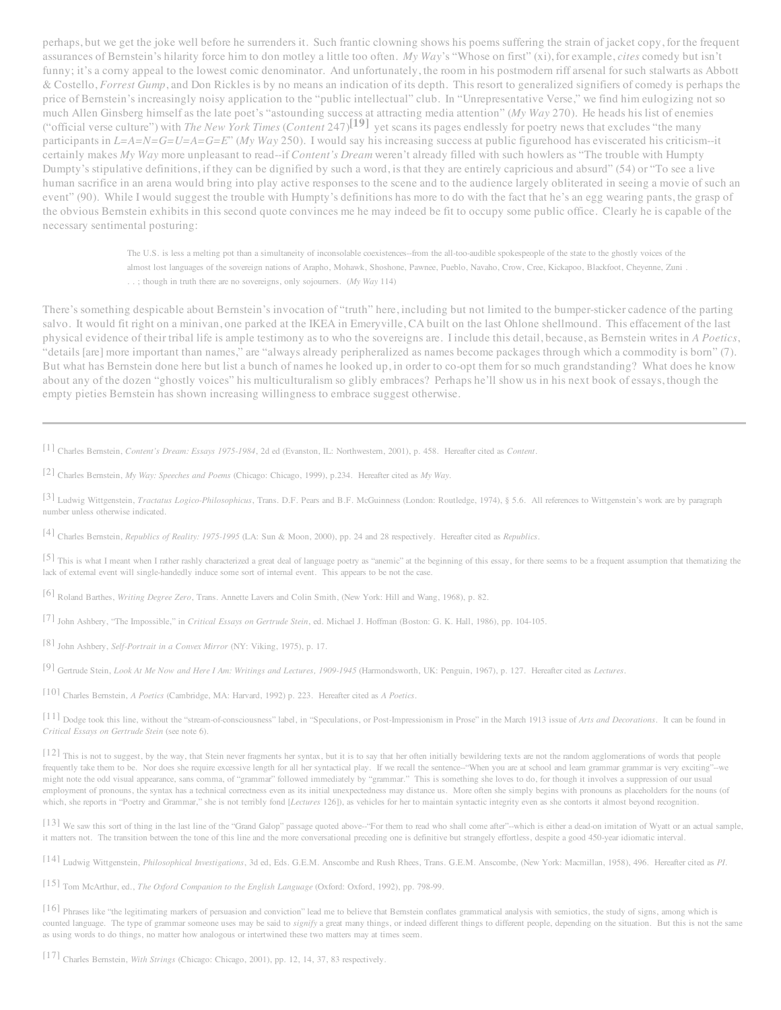perhaps, but we get the joke well before he surrenders it. Such frantic clowning shows his poems suffering the strain of jacket copy, for the frequent assurances of Bernstein's hilarity force him to don motley a little too often. *My Way*'s "Whose on first" (xi), for example, *cites* comedy but isn't funny; it's a corny appeal to the lowest comic denominator. And unfortunately, the room in his postmodern riff arsenal for such stalwarts as Abbott & Costello, *Forrest Gump*, and Don Rickles is by no means an indication of its depth. This resort to generalized signifiers of comedy is perhaps the price of Bernstein's increasingly noisy application to the "public intellectual" club. In "Unrepresentative Verse," we find him eulogizing not so much Allen Ginsberg himself as the late poet's "astounding success at attracting media attention" (*My Way* 270). He heads his list of enemies ("official verse culture") with *The New York Times* (Content 247)<sup>[19]</sup> yet scans its pages endlessly for poetry news that excludes "the many participants in *L=A=N=G=U=A=G=E*" (*My Way* 250). I would say his increasing success at public figurehood has eviscerated his criticism--it certainly makes *My Way* more unpleasant to read--if *Content's Dream* weren't already filled with such howlers as "The trouble with Humpty Dumpty's stipulative definitions, if they can be dignified by such a word, is that they are entirely capricious and absurd" (54) or "To see a live human sacrifice in an arena would bring into play active responses to the scene and to the audience largely obliterated in seeing a movie of such an event" (90). While I would suggest the trouble with Humpty's definitions has more to do with the fact that he's an egg wearing pants, the grasp of the obvious Bernstein exhibits in this second quote convinces me he may indeed be fit to occupy some public office. Clearly he is capable of the necessary sentimental posturing:

> The U.S. is less a melting pot than a simultaneity of inconsolable coexistences--from the all-too-audible spokespeople of the state to the ghostly voices of the almost lost languages of the sovereign nations of Arapho, Mohawk, Shoshone, Pawnee, Pueblo, Navaho, Crow, Cree, Kickapoo, Blackfoot, Cheyenne, Zuni . . . ; though in truth there are no sovereigns, only sojourners. (*My Way* 114)

There's something despicable about Bernstein's invocation of "truth" here, including but not limited to the bumper-sticker cadence of the parting salvo. It would fit right on a minivan, one parked at the IKEA in Emeryville, CA built on the last Ohlone shellmound. This effacement of the last physical evidence of their tribal life is ample testimony as to who the sovereigns are. I include this detail, because, as Bernstein writes in *A Poetics*, "details [are] more important than names," are "always already peripheralized as names become packages through which a commodity is born" (7). But what has Bernstein done here but list a bunch of names he looked up, in order to co-opt them for so much grandstanding? What does he know about any of the dozen "ghostly voices" his multiculturalism so glibly embraces? Perhaps he'll show us in his next book of essays, though the empty pieties Bernstein has shown increasing willingness to embrace suggest otherwise.

Charles Bernstein, *Content's Dream: Essays 1975-1984*, 2d ed (Evanston, IL: Northwestern, 2001), p. 458. Hereafter cited as *Content.* [1]

Charles Bernstein, *My Way: Speeches and Poems* (Chicago: Chicago, 1999), p.234. Hereafter cited as *My Way*. [2]

<sup>[3]</sup> Ludwig Wittgenstein, *Tractatus Logico-Philosophicus*, Trans. D.F. Pears and B.F. McGuinness (London: Routledge, 1974), § 5.6. All references to Wittgenstein's work are by paragraph number unless otherwise indicated.

Charles Bernstein, *Republics of Reality: 1975-1995* (LA: Sun & Moon, 2000), pp. 24 and 28 respectively. Hereafter cited as *Republics*. [4]

[5] This is what I meant when I rather rashly characterized a great deal of language poetry as "anemic" at the beginning of this essay, for there seems to be a frequent assumption that thematizing the lack of external event will single-handedly induce some sort of internal event. This appears to be not the case.

Roland Barthes, *Writing Degree Zero*, Trans. Annette Lavers and Colin Smith, (New York: Hill and Wang, 1968), p. 82. [6]

John Ashbery, "The Impossible," in *Critical Essays on Gertrude Stein*, ed. Michael J. Hoffman (Boston: G. K. Hall, 1986), pp. 104-105. [7]

John Ashbery, *Self-Portrait in a Convex Mirror* (NY: Viking, 1975), p. 17. [8]

[9] Gertrude Stein, *Look At Me Now and Here I Am: Writings and Lectures, 1909-1945* (Harmondsworth, UK: Penguin, 1967), p. 127. Hereafter cited as Lectures.

Charles Bernstein, *A Poetics* (Cambridge, MA: Harvard, 1992) p. 223. Hereafter cited as *A Poetics*. [10]

[11] Dodge took this line, without the "stream-of-consciousness" label, in "Speculations, or Post-Impressionism in Prose" in the March 1913 issue of *Arts and Decorations*. It can be found in *Critical Essays on Gertrude Stein* (see note 6).

[12] This is not to suggest, by the way, that Stein never fragments her syntax, but it is to say that her often initially bewildering texts are not the random agglomerations of words that people frequently take them to be. Nor does she require excessive length for all her syntactical play. If we recall the sentence--"When you are at school and learn grammar grammar is very exciting"--we might note the odd visual appearance, sans comma, of "grammar" followed immediately by "grammar." This is something she loves to do, for though it involves a suppression of our usual employment of pronouns, the syntax has a technical correctness even as its initial unexpectedness may distance us. More often she simply begins with pronouns as placeholders for the nouns (of which, she reports in "Poetry and Grammar," she is not terribly fond [*Lectures* 126]), as vehicles for her to maintain syntactic integrity even as she contorts it almost beyond recognition.

[13] We saw this sort of thing in the last line of the "Grand Galop" passage quoted above-"For them to read who shall come after"-which is either a dead-on imitation of Wyatt or an actual sample, it matters not. The transition between the tone of this line and the more conversational preceding one is definitive but strangely effortless, despite a good 450-year idiomatic interval.

Ludwig Wittgenstein, *Philosophical Investigations*, 3d ed, Eds. G.E.M. Anscombe and Rush Rhees, Trans. G.E.M. Anscombe, (New York: Macmillan, 1958), 496. Hereafter cited as *PI*. [14]

Tom McArthur, ed., *The Oxford Companion to the English Language* (Oxford: Oxford, 1992), pp. 798-99. [15]

[16] Phrases like "the legitimating markers of persuasion and conviction" lead me to believe that Bernstein conflates grammatical analysis with semiotics, the study of signs, among which is counted language. The type of grammar someone uses may be said to *signify* a great many things, or indeed different things to different people, depending on the situation. But this is not the same as using words to do things, no matter how analogous or intertwined these two matters may at times seem.

Charles Bernstein, *With Strings* (Chicago: Chicago, 2001), pp. 12, 14, 37, 83 respectively. [17]